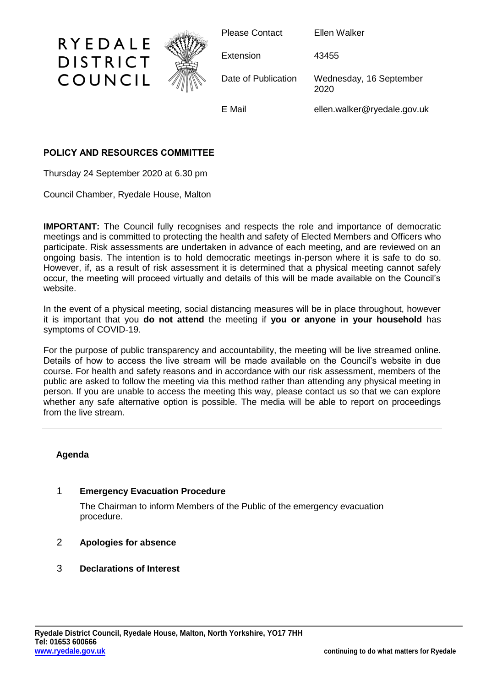

# **POLICY AND RESOURCES COMMITTEE**

Thursday 24 September 2020 at 6.30 pm

Council Chamber, Ryedale House, Malton

**IMPORTANT:** The Council fully recognises and respects the role and importance of democratic meetings and is committed to protecting the health and safety of Elected Members and Officers who participate. Risk assessments are undertaken in advance of each meeting, and are reviewed on an ongoing basis. The intention is to hold democratic meetings in-person where it is safe to do so. However, if, as a result of risk assessment it is determined that a physical meeting cannot safely occur, the meeting will proceed virtually and details of this will be made available on the Council's website.

In the event of a physical meeting, social distancing measures will be in place throughout, however it is important that you **do not attend** the meeting if **you or anyone in your household** has symptoms of COVID-19.

For the purpose of public transparency and accountability, the meeting will be live streamed online. Details of how to access the live stream will be made available on the Council's website in due course. For health and safety reasons and in accordance with our risk assessment, members of the public are asked to follow the meeting via this method rather than attending any physical meeting in person. If you are unable to access the meeting this way, please contact us so that we can explore whether any safe alternative option is possible. The media will be able to report on proceedings from the live stream.

# **Agenda**

# 1 **Emergency Evacuation Procedure**

The Chairman to inform Members of the Public of the emergency evacuation procedure.

# 2 **Apologies for absence**

# 3 **Declarations of Interest**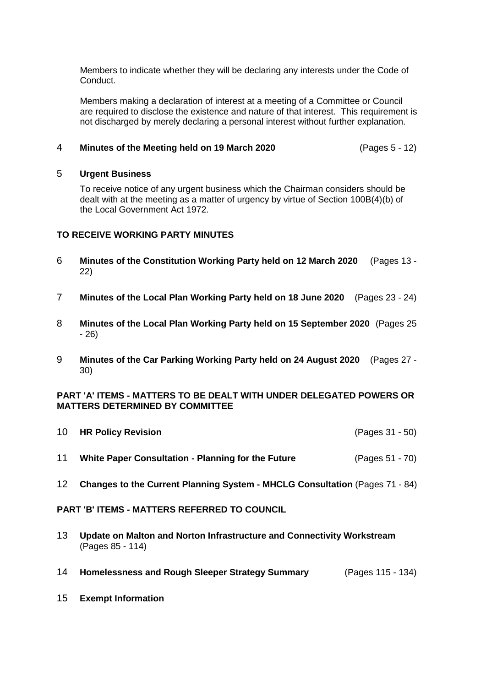Members to indicate whether they will be declaring any interests under the Code of Conduct.

Members making a declaration of interest at a meeting of a Committee or Council are required to disclose the existence and nature of that interest. This requirement is not discharged by merely declaring a personal interest without further explanation.

### 4 **Minutes of the Meeting held on 19 March 2020** (Pages 5 - 12)

#### 5 **Urgent Business**

To receive notice of any urgent business which the Chairman considers should be dealt with at the meeting as a matter of urgency by virtue of Section 100B(4)(b) of the Local Government Act 1972.

# **TO RECEIVE WORKING PARTY MINUTES**

- 6 **Minutes of the Constitution Working Party held on 12 March 2020** (Pages 13 22)
- 7 **Minutes of the Local Plan Working Party held on 18 June 2020** (Pages 23 24)
- 8 **Minutes of the Local Plan Working Party held on 15 September 2020** (Pages 25 - 26)
- 9 **Minutes of the Car Parking Working Party held on 24 August 2020** (Pages 27 30)

### **PART 'A' ITEMS - MATTERS TO BE DEALT WITH UNDER DELEGATED POWERS OR MATTERS DETERMINED BY COMMITTEE**

| 12 | Changes to the Current Planning System - MHCLG Consultation (Pages 71 - 84) |                 |
|----|-----------------------------------------------------------------------------|-----------------|
| 11 | White Paper Consultation - Planning for the Future                          | (Pages 51 - 70) |
| 10 | <b>HR Policy Revision</b>                                                   | (Pages 31 - 50) |

#### **PART 'B' ITEMS - MATTERS REFERRED TO COUNCIL**

- 13 **Update on Malton and Norton Infrastructure and Connectivity Workstream** (Pages 85 - 114)
- 14 **Homelessness and Rough Sleeper Strategy Summary** (Pages 115 134)
- 15 **Exempt Information**